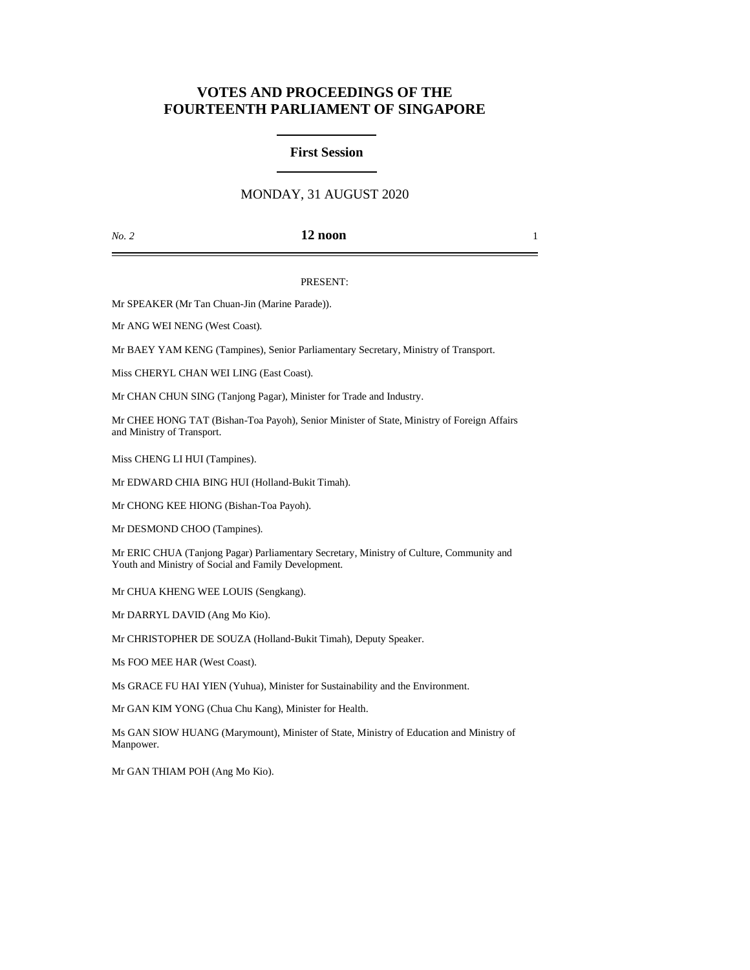# **VOTES AND PROCEEDINGS OF THE FOURTEENTH PARLIAMENT OF SINGAPORE**

### **First Session**

## MONDAY, 31 AUGUST 2020

#### *No. 2* **12 noon** 1

#### PRESENT:

Mr SPEAKER (Mr Tan Chuan-Jin (Marine Parade)).

Mr ANG WEI NENG (West Coast).

Mr BAEY YAM KENG (Tampines), Senior Parliamentary Secretary, Ministry of Transport.

Miss CHERYL CHAN WEI LING (East Coast).

Mr CHAN CHUN SING (Tanjong Pagar), Minister for Trade and Industry.

Mr CHEE HONG TAT (Bishan-Toa Payoh), Senior Minister of State, Ministry of Foreign Affairs and Ministry of Transport.

Miss CHENG LI HUI (Tampines).

Mr EDWARD CHIA BING HUI (Holland-Bukit Timah).

Mr CHONG KEE HIONG (Bishan-Toa Payoh).

Mr DESMOND CHOO (Tampines).

Mr ERIC CHUA (Tanjong Pagar) Parliamentary Secretary, Ministry of Culture, Community and Youth and Ministry of Social and Family Development.

Mr CHUA KHENG WEE LOUIS (Sengkang).

Mr DARRYL DAVID (Ang Mo Kio).

Mr CHRISTOPHER DE SOUZA (Holland-Bukit Timah), Deputy Speaker.

Ms FOO MEE HAR (West Coast).

Ms GRACE FU HAI YIEN (Yuhua), Minister for Sustainability and the Environment.

Mr GAN KIM YONG (Chua Chu Kang), Minister for Health.

Ms GAN SIOW HUANG (Marymount), Minister of State, Ministry of Education and Ministry of Manpower.

Mr GAN THIAM POH (Ang Mo Kio).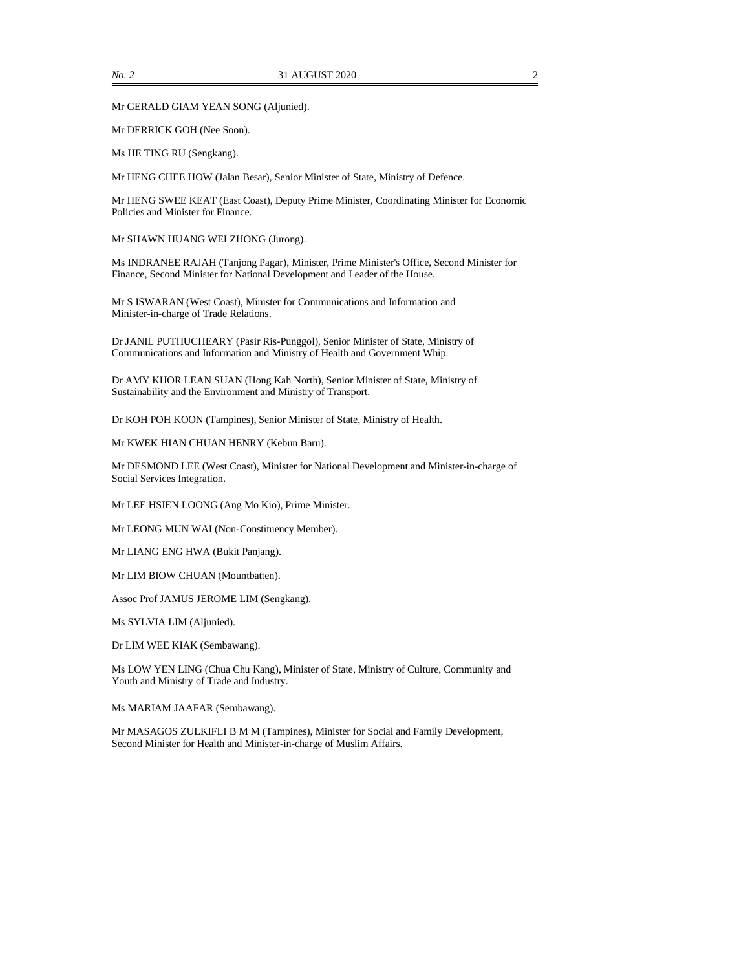Mr GERALD GIAM YEAN SONG (Aljunied).

Mr DERRICK GOH (Nee Soon).

Ms HE TING RU (Sengkang).

Mr HENG CHEE HOW (Jalan Besar), Senior Minister of State, Ministry of Defence.

Mr HENG SWEE KEAT (East Coast), Deputy Prime Minister, Coordinating Minister for Economic Policies and Minister for Finance.

Mr SHAWN HUANG WEI ZHONG (Jurong).

Ms INDRANEE RAJAH (Tanjong Pagar), Minister, Prime Minister's Office, Second Minister for Finance, Second Minister for National Development and Leader of the House.

Mr S ISWARAN (West Coast), Minister for Communications and Information and Minister-in-charge of Trade Relations.

Dr JANIL PUTHUCHEARY (Pasir Ris-Punggol), Senior Minister of State, Ministry of Communications and Information and Ministry of Health and Government Whip.

Dr AMY KHOR LEAN SUAN (Hong Kah North), Senior Minister of State, Ministry of Sustainability and the Environment and Ministry of Transport.

Dr KOH POH KOON (Tampines), Senior Minister of State, Ministry of Health.

Mr KWEK HIAN CHUAN HENRY (Kebun Baru).

Mr DESMOND LEE (West Coast), Minister for National Development and Minister-in-charge of Social Services Integration.

Mr LEE HSIEN LOONG (Ang Mo Kio), Prime Minister.

Mr LEONG MUN WAI (Non-Constituency Member).

Mr LIANG ENG HWA (Bukit Panjang).

Mr LIM BIOW CHUAN (Mountbatten).

Assoc Prof JAMUS JEROME LIM (Sengkang).

Ms SYLVIA LIM (Aljunied).

Dr LIM WEE KIAK (Sembawang).

Ms LOW YEN LING (Chua Chu Kang), Minister of State, Ministry of Culture, Community and Youth and Ministry of Trade and Industry.

Ms MARIAM JAAFAR (Sembawang).

Mr MASAGOS ZULKIFLI B M M (Tampines), Minister for Social and Family Development, Second Minister for Health and Minister-in-charge of Muslim Affairs.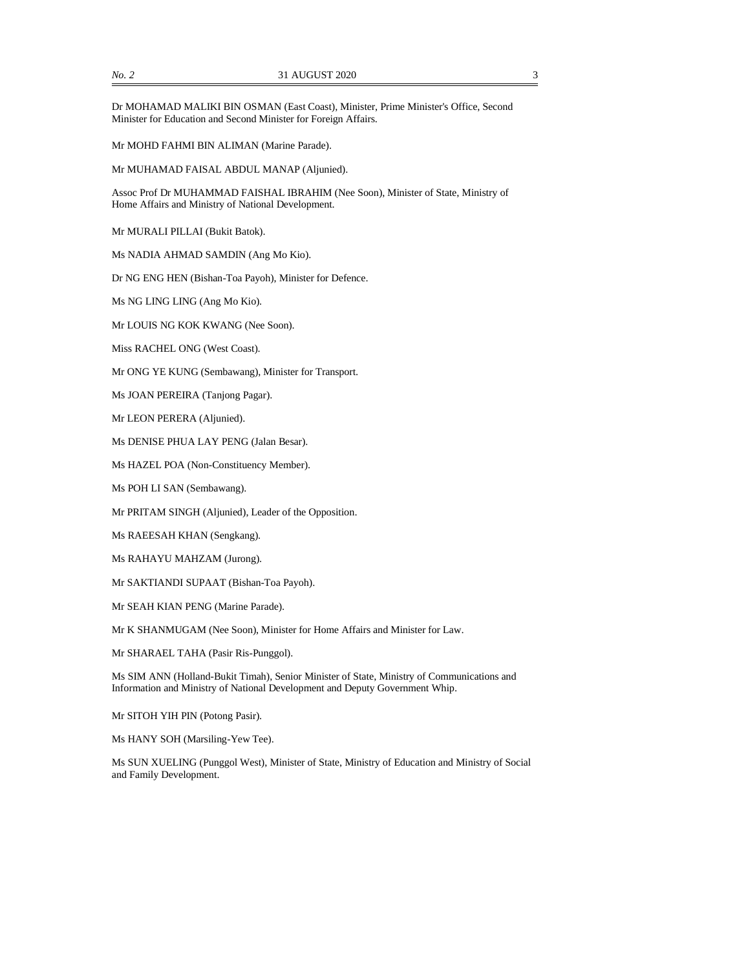Dr MOHAMAD MALIKI BIN OSMAN (East Coast), Minister, Prime Minister's Office, Second Minister for Education and Second Minister for Foreign Affairs.

Mr MOHD FAHMI BIN ALIMAN (Marine Parade).

Mr MUHAMAD FAISAL ABDUL MANAP (Aljunied).

Assoc Prof Dr MUHAMMAD FAISHAL IBRAHIM (Nee Soon), Minister of State, Ministry of Home Affairs and Ministry of National Development.

Mr MURALI PILLAI (Bukit Batok).

Ms NADIA AHMAD SAMDIN (Ang Mo Kio).

Dr NG ENG HEN (Bishan-Toa Payoh), Minister for Defence.

Ms NG LING LING (Ang Mo Kio).

Mr LOUIS NG KOK KWANG (Nee Soon).

Miss RACHEL ONG (West Coast).

Mr ONG YE KUNG (Sembawang), Minister for Transport.

Ms JOAN PEREIRA (Tanjong Pagar).

Mr LEON PERERA (Aljunied).

Ms DENISE PHUA LAY PENG (Jalan Besar).

Ms HAZEL POA (Non-Constituency Member).

Ms POH LI SAN (Sembawang).

Mr PRITAM SINGH (Aljunied), Leader of the Opposition.

Ms RAEESAH KHAN (Sengkang).

Ms RAHAYU MAHZAM (Jurong).

Mr SAKTIANDI SUPAAT (Bishan-Toa Payoh).

Mr SEAH KIAN PENG (Marine Parade).

Mr K SHANMUGAM (Nee Soon), Minister for Home Affairs and Minister for Law.

Mr SHARAEL TAHA (Pasir Ris-Punggol).

Ms SIM ANN (Holland-Bukit Timah), Senior Minister of State, Ministry of Communications and Information and Ministry of National Development and Deputy Government Whip.

Mr SITOH YIH PIN (Potong Pasir).

Ms HANY SOH (Marsiling-Yew Tee).

Ms SUN XUELING (Punggol West), Minister of State, Ministry of Education and Ministry of Social and Family Development.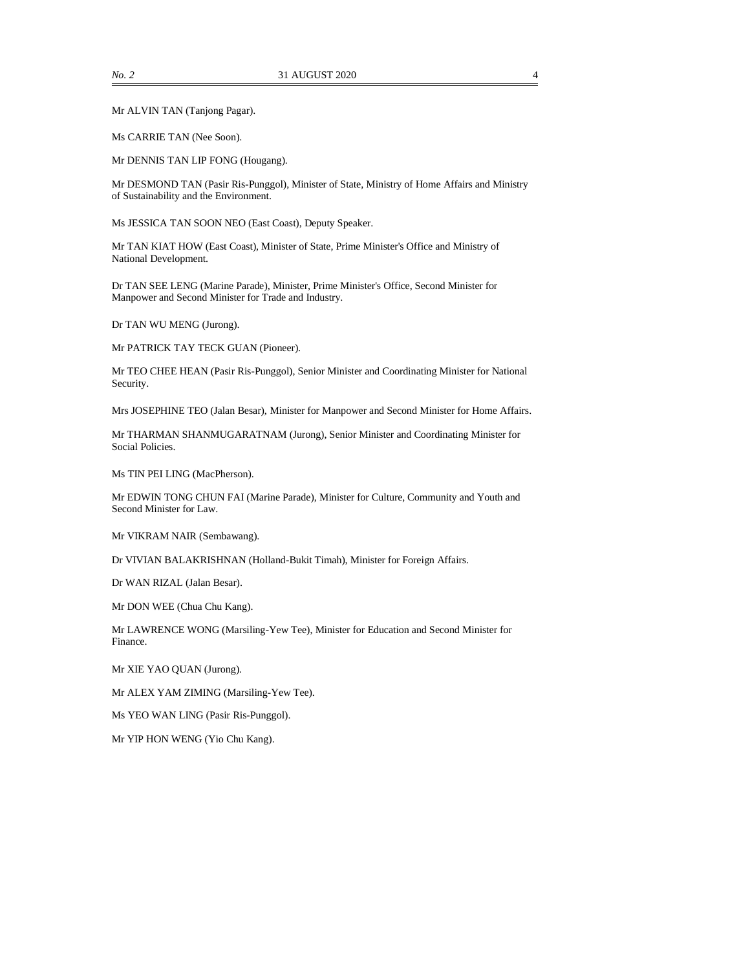Mr ALVIN TAN (Tanjong Pagar).

Ms CARRIE TAN (Nee Soon).

Mr DENNIS TAN LIP FONG (Hougang).

Mr DESMOND TAN (Pasir Ris-Punggol), Minister of State, Ministry of Home Affairs and Ministry of Sustainability and the Environment.

Ms JESSICA TAN SOON NEO (East Coast), Deputy Speaker.

Mr TAN KIAT HOW (East Coast), Minister of State, Prime Minister's Office and Ministry of National Development.

Dr TAN SEE LENG (Marine Parade), Minister, Prime Minister's Office, Second Minister for Manpower and Second Minister for Trade and Industry.

Dr TAN WU MENG (Jurong).

Mr PATRICK TAY TECK GUAN (Pioneer).

Mr TEO CHEE HEAN (Pasir Ris-Punggol), Senior Minister and Coordinating Minister for National Security.

Mrs JOSEPHINE TEO (Jalan Besar), Minister for Manpower and Second Minister for Home Affairs.

Mr THARMAN SHANMUGARATNAM (Jurong), Senior Minister and Coordinating Minister for Social Policies.

Ms TIN PEI LING (MacPherson).

Mr EDWIN TONG CHUN FAI (Marine Parade), Minister for Culture, Community and Youth and Second Minister for Law.

Mr VIKRAM NAIR (Sembawang).

Dr VIVIAN BALAKRISHNAN (Holland-Bukit Timah), Minister for Foreign Affairs.

Dr WAN RIZAL (Jalan Besar).

Mr DON WEE (Chua Chu Kang).

Mr LAWRENCE WONG (Marsiling-Yew Tee), Minister for Education and Second Minister for Finance.

Mr XIE YAO QUAN (Jurong).

Mr ALEX YAM ZIMING (Marsiling-Yew Tee).

Ms YEO WAN LING (Pasir Ris-Punggol).

Mr YIP HON WENG (Yio Chu Kang).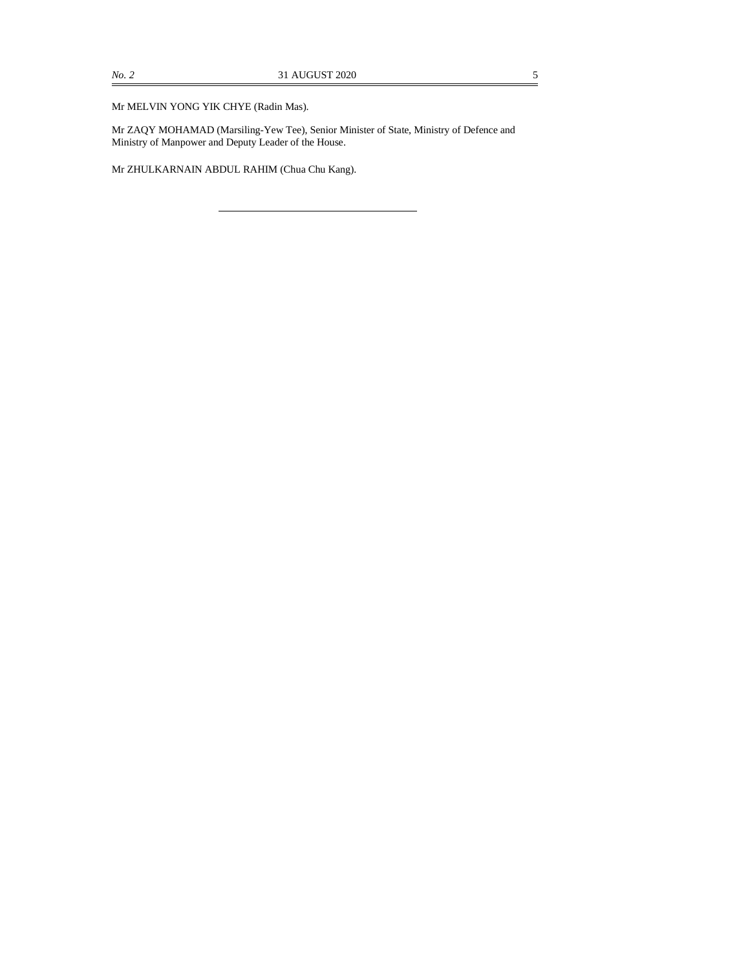Mr ZAQY MOHAMAD (Marsiling-Yew Tee), Senior Minister of State, Ministry of Defence and Ministry of Manpower and Deputy Leader of the House.

Mr ZHULKARNAIN ABDUL RAHIM (Chua Chu Kang).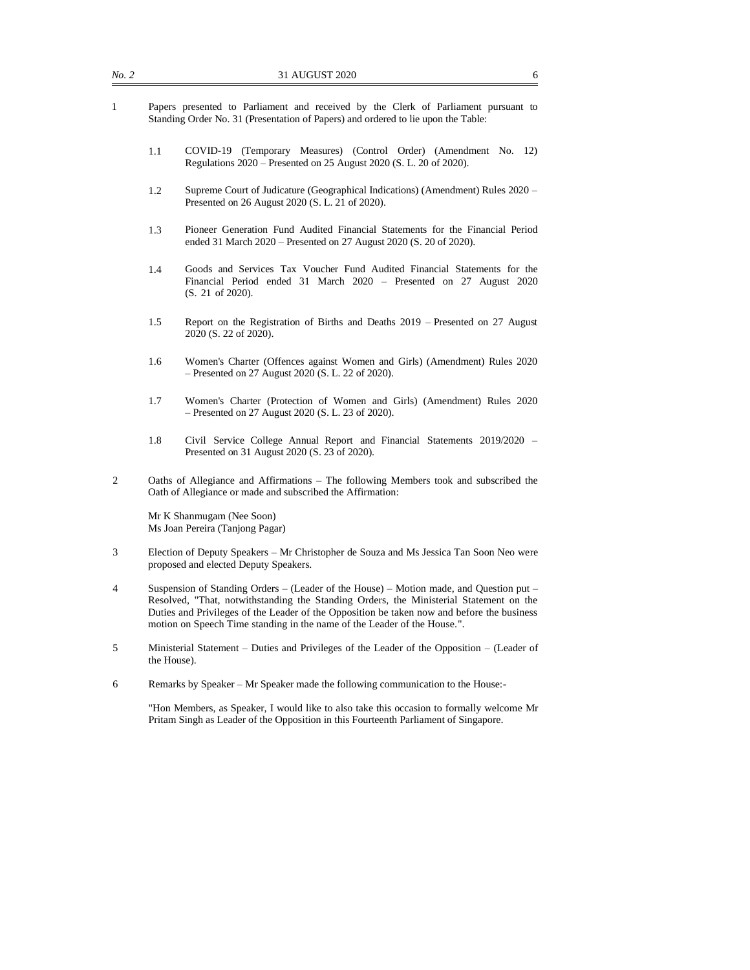- 1 Papers presented to Parliament and received by the Clerk of Parliament pursuant to Standing Order No. 31 (Presentation of Papers) and ordered to lie upon the Table:
	- 1.1 COVID-19 (Temporary Measures) (Control Order) (Amendment No. 12) Regulations 2020 – Presented on 25 August 2020 (S. L. 20 of 2020).
	- 1.2 Supreme Court of Judicature (Geographical Indications) (Amendment) Rules 2020 Presented on 26 August 2020 (S. L. 21 of 2020).
	- 1.3 Pioneer Generation Fund Audited Financial Statements for the Financial Period ended 31 March 2020 – Presented on 27 August 2020 (S. 20 of 2020).
	- 1.4 Goods and Services Tax Voucher Fund Audited Financial Statements for the Financial Period ended 31 March 2020 – Presented on 27 August 2020 (S. 21 of 2020).
	- 1.5 Report on the Registration of Births and Deaths 2019 Presented on 27 August 2020 (S. 22 of 2020).
	- 1.6 Women's Charter (Offences against Women and Girls) (Amendment) Rules 2020 – Presented on 27 August 2020 (S. L. 22 of 2020).
	- 1.7 Women's Charter (Protection of Women and Girls) (Amendment) Rules 2020 – Presented on 27 August 2020 (S. L. 23 of 2020).
	- 1.8 Civil Service College Annual Report and Financial Statements 2019/2020 Presented on 31 August 2020 (S. 23 of 2020).
- 2 Oaths of Allegiance and Affirmations The following Members took and subscribed the Oath of Allegiance or made and subscribed the Affirmation:

Mr K Shanmugam (Nee Soon) Ms Joan Pereira (Tanjong Pagar)

- 3 Election of Deputy Speakers Mr Christopher de Souza and Ms Jessica Tan Soon Neo were proposed and elected Deputy Speakers.
- 4 Suspension of Standing Orders (Leader of the House) Motion made, and Question put Resolved, "That, notwithstanding the Standing Orders, the Ministerial Statement on the Duties and Privileges of the Leader of the Opposition be taken now and before the business motion on Speech Time standing in the name of the Leader of the House.".
- 5 Ministerial Statement Duties and Privileges of the Leader of the Opposition (Leader of the House).
- 6 Remarks by Speaker Mr Speaker made the following communication to the House:-

"Hon Members, as Speaker, I would like to also take this occasion to formally welcome Mr Pritam Singh as Leader of the Opposition in this Fourteenth Parliament of Singapore.